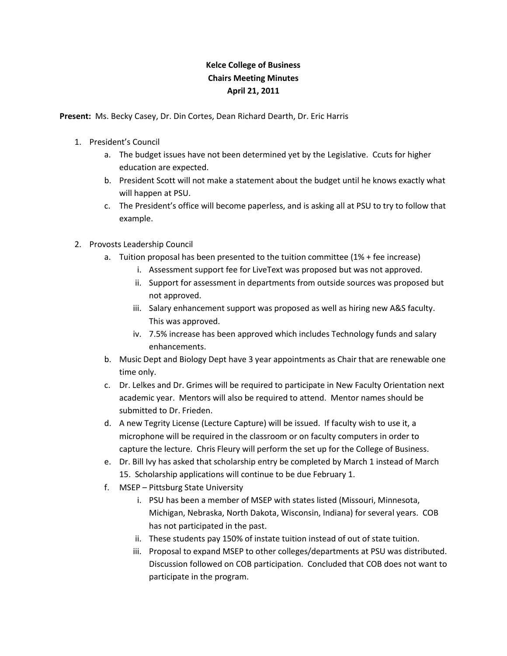## **Kelce College of Business Chairs Meeting Minutes April 21, 2011**

**Present:** Ms. Becky Casey, Dr. Din Cortes, Dean Richard Dearth, Dr. Eric Harris

- 1. President's Council
	- a. The budget issues have not been determined yet by the Legislative. Ccuts for higher education are expected.
	- b. President Scott will not make a statement about the budget until he knows exactly what will happen at PSU.
	- c. The President's office will become paperless, and is asking all at PSU to try to follow that example.
- 2. Provosts Leadership Council
	- a. Tuition proposal has been presented to the tuition committee (1% + fee increase)
		- i. Assessment support fee for LiveText was proposed but was not approved.
		- ii. Support for assessment in departments from outside sources was proposed but not approved.
		- iii. Salary enhancement support was proposed as well as hiring new A&S faculty. This was approved.
		- iv. 7.5% increase has been approved which includes Technology funds and salary enhancements.
	- b. Music Dept and Biology Dept have 3 year appointments as Chair that are renewable one time only.
	- c. Dr. Lelkes and Dr. Grimes will be required to participate in New Faculty Orientation next academic year. Mentors will also be required to attend. Mentor names should be submitted to Dr. Frieden.
	- d. A new Tegrity License (Lecture Capture) will be issued. If faculty wish to use it, a microphone will be required in the classroom or on faculty computers in order to capture the lecture. Chris Fleury will perform the set up for the College of Business.
	- e. Dr. Bill Ivy has asked that scholarship entry be completed by March 1 instead of March 15. Scholarship applications will continue to be due February 1.
	- f. MSEP Pittsburg State University
		- i. PSU has been a member of MSEP with states listed (Missouri, Minnesota, Michigan, Nebraska, North Dakota, Wisconsin, Indiana) for several years. COB has not participated in the past.
		- ii. These students pay 150% of instate tuition instead of out of state tuition.
		- iii. Proposal to expand MSEP to other colleges/departments at PSU was distributed. Discussion followed on COB participation. Concluded that COB does not want to participate in the program.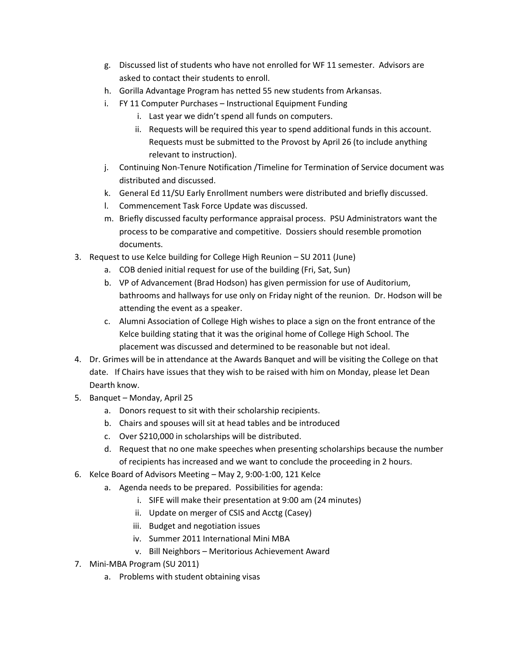- g. Discussed list of students who have not enrolled for WF 11 semester. Advisors are asked to contact their students to enroll.
- h. Gorilla Advantage Program has netted 55 new students from Arkansas.
- i. FY 11 Computer Purchases Instructional Equipment Funding
	- i. Last year we didn't spend all funds on computers.
	- ii. Requests will be required this year to spend additional funds in this account. Requests must be submitted to the Provost by April 26 (to include anything relevant to instruction).
- j. Continuing Non-Tenure Notification /Timeline for Termination of Service document was distributed and discussed.
- k. General Ed 11/SU Early Enrollment numbers were distributed and briefly discussed.
- l. Commencement Task Force Update was discussed.
- m. Briefly discussed faculty performance appraisal process. PSU Administrators want the process to be comparative and competitive. Dossiers should resemble promotion documents.
- 3. Request to use Kelce building for College High Reunion SU 2011 (June)
	- a. COB denied initial request for use of the building (Fri, Sat, Sun)
	- b. VP of Advancement (Brad Hodson) has given permission for use of Auditorium, bathrooms and hallways for use only on Friday night of the reunion. Dr. Hodson will be attending the event as a speaker.
	- c. Alumni Association of College High wishes to place a sign on the front entrance of the Kelce building stating that it was the original home of College High School. The placement was discussed and determined to be reasonable but not ideal.
- 4. Dr. Grimes will be in attendance at the Awards Banquet and will be visiting the College on that date. If Chairs have issues that they wish to be raised with him on Monday, please let Dean Dearth know.
- 5. Banquet Monday, April 25
	- a. Donors request to sit with their scholarship recipients.
	- b. Chairs and spouses will sit at head tables and be introduced
	- c. Over \$210,000 in scholarships will be distributed.
	- d. Request that no one make speeches when presenting scholarships because the number of recipients has increased and we want to conclude the proceeding in 2 hours.
- 6. Kelce Board of Advisors Meeting May 2, 9:00-1:00, 121 Kelce
	- a. Agenda needs to be prepared. Possibilities for agenda:
		- i. SIFE will make their presentation at 9:00 am (24 minutes)
		- ii. Update on merger of CSIS and Acctg (Casey)
		- iii. Budget and negotiation issues
		- iv. Summer 2011 International Mini MBA
		- v. Bill Neighbors Meritorious Achievement Award
- 7. Mini-MBA Program (SU 2011)
	- a. Problems with student obtaining visas